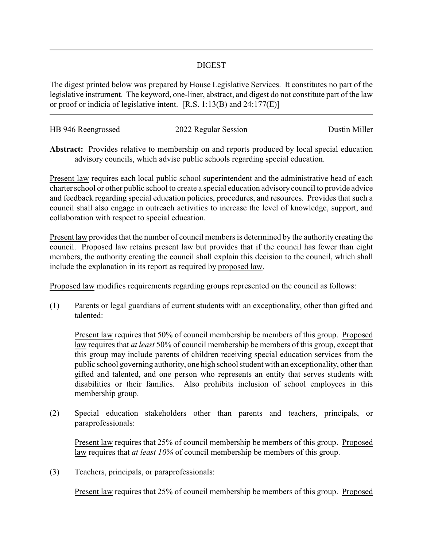## DIGEST

The digest printed below was prepared by House Legislative Services. It constitutes no part of the legislative instrument. The keyword, one-liner, abstract, and digest do not constitute part of the law or proof or indicia of legislative intent. [R.S. 1:13(B) and 24:177(E)]

| HB 946 Reengrossed | 2022 Regular Session | Dustin Miller |
|--------------------|----------------------|---------------|
|                    |                      |               |

**Abstract:** Provides relative to membership on and reports produced by local special education advisory councils, which advise public schools regarding special education.

Present law requires each local public school superintendent and the administrative head of each charter school or other public school to create a special education advisory council to provide advice and feedback regarding special education policies, procedures, and resources. Provides that such a council shall also engage in outreach activities to increase the level of knowledge, support, and collaboration with respect to special education.

Present law provides that the number of council members is determined by the authority creating the council. Proposed law retains present law but provides that if the council has fewer than eight members, the authority creating the council shall explain this decision to the council, which shall include the explanation in its report as required by proposed law.

Proposed law modifies requirements regarding groups represented on the council as follows:

(1) Parents or legal guardians of current students with an exceptionality, other than gifted and talented:

Present law requires that 50% of council membership be members of this group. Proposed law requires that *at least* 50% of council membership be members of this group, except that this group may include parents of children receiving special education services from the public school governing authority, one high school student with an exceptionality, other than gifted and talented, and one person who represents an entity that serves students with disabilities or their families. Also prohibits inclusion of school employees in this membership group.

(2) Special education stakeholders other than parents and teachers, principals, or paraprofessionals:

Present law requires that 25% of council membership be members of this group. Proposed law requires that *at least 10%* of council membership be members of this group.

(3) Teachers, principals, or paraprofessionals:

Present law requires that 25% of council membership be members of this group. Proposed